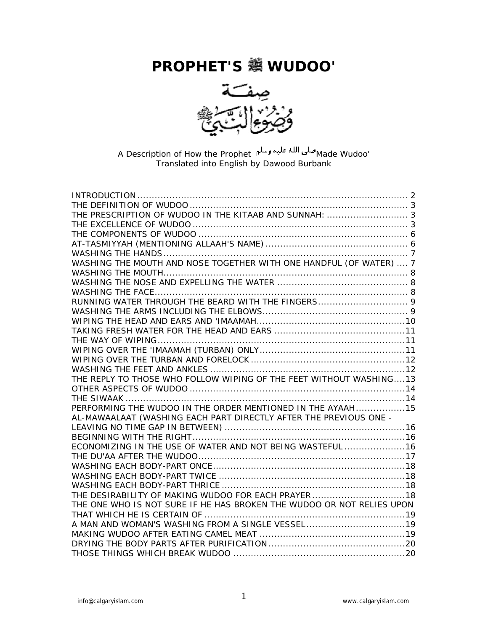# **PROPHET'S WUDOO'**



'Made Wudoo صلى الله عليه وتسلم A Description of How the Prophet Translated into English by Dawood Burbank

| THE PRESCRIPTION OF WUDOO IN THE KITAAB AND SUNNAH:  3                |
|-----------------------------------------------------------------------|
|                                                                       |
|                                                                       |
|                                                                       |
|                                                                       |
| WASHING THE MOUTH AND NOSE TOGETHER WITH ONE HANDFUL (OF WATER)  7    |
|                                                                       |
|                                                                       |
|                                                                       |
|                                                                       |
|                                                                       |
|                                                                       |
|                                                                       |
|                                                                       |
|                                                                       |
|                                                                       |
|                                                                       |
|                                                                       |
|                                                                       |
|                                                                       |
| PERFORMING THE WUDOO IN THE ORDER MENTIONED IN THE AYAAH15            |
| AL-MAWAALAAT (WASHING EACH PART DIRECTLY AFTER THE PREVIOUS ONE -     |
|                                                                       |
|                                                                       |
| ECONOMIZING IN THE USE OF WATER AND NOT BEING WASTEFUL 16             |
|                                                                       |
|                                                                       |
|                                                                       |
|                                                                       |
| THE DESIRABILITY OF MAKING WUDOO FOR EACH PRAYER18                    |
| THE ONE WHO IS NOT SURE IF HE HAS BROKEN THE WUDOO OR NOT RELIES UPON |
|                                                                       |
|                                                                       |
|                                                                       |
|                                                                       |
|                                                                       |
|                                                                       |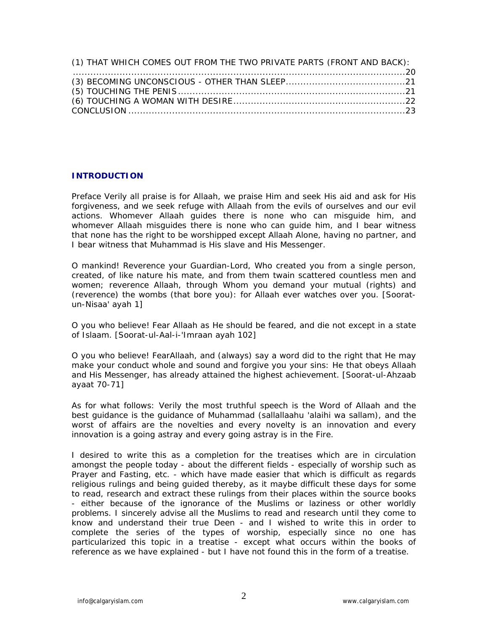| (1) THAT WHICH COMES OUT FROM THE TWO PRIVATE PARTS (FRONT AND BACK): |  |
|-----------------------------------------------------------------------|--|
|                                                                       |  |
|                                                                       |  |
|                                                                       |  |
|                                                                       |  |
|                                                                       |  |

## **INTRODUCTION**

Preface Verily all praise is for Allaah, we praise Him and seek His aid and ask for His forgiveness, and we seek refuge with Allaah from the evils of ourselves and our evil actions. Whomever Allaah guides there is none who can misguide him, and whomever Allaah misguides there is none who can guide him, and I bear witness that none has the right to be worshipped except Allaah Alone, having no partner, and I bear witness that Muhammad is His slave and His Messenger.

O mankind! Reverence your Guardian-Lord, Who created you from a single person, created, of like nature his mate, and from them twain scattered countless men and women; reverence Allaah, through Whom you demand your mutual (rights) and (reverence) the wombs (that bore you): for Allaah ever watches over you. [Sooratun-Nisaa' ayah 1]

O you who believe! Fear Allaah as He should be feared, and die not except in a state of Islaam. [Soorat-ul-Aal-i-'Imraan ayah 102]

O you who believe! FearAllaah, and (always) say a word did to the right that He may make your conduct whole and sound and forgive you your sins: He that obeys Allaah and His Messenger, has already attained the highest achievement. [Soorat-ul-Ahzaab ayaat 70-71]

As for what follows: Verily the most truthful speech is the Word of Allaah and the best guidance is the guidance of Muhammad (sallallaahu 'alaihi wa sallam), and the worst of affairs are the novelties and every novelty is an innovation and every innovation is a going astray and every going astray is in the Fire.

I desired to write this as a completion for the treatises which are in circulation amongst the people today - about the different fields - especially of worship such as Prayer and Fasting, etc. - which have made easier that which is difficult as regards religious rulings and being guided thereby, as it maybe difficult these days for some to read, research and extract these rulings from their places within the source books - either because of the ignorance of the Muslims or laziness or other worldly problems. I sincerely advise all the Muslims to read and research until they come to know and understand their true Deen - and I wished to write this in order to complete the series of the types of worship, especially since no one has particularized this topic in a treatise - except what occurs within the books of reference as we have explained - but I have not found this in the form of a treatise.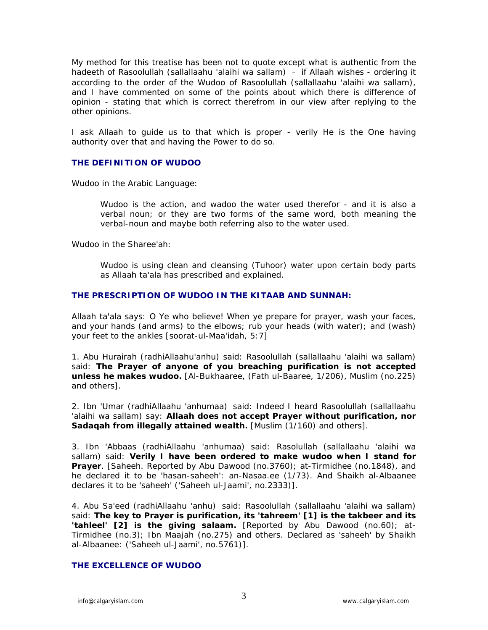My method for this treatise has been not to quote except what is authentic from the hadeeth of Rasoolullah (sallallaahu 'alaihi wa sallam) - if Allaah wishes - ordering it according to the order of the Wudoo of Rasoolullah (sallallaahu 'alaihi wa sallam), and I have commented on some of the points about which there is difference of opinion - stating that which is correct therefrom in our view after replying to the other opinions.

I ask Allaah to guide us to that which is proper - verily He is the One having authority over that and having the Power to do so.

## **THE DEFINITION OF WUDOO**

Wudoo in the Arabic Language:

Wudoo is the action, and wadoo the water used therefor - and it is also a verbal noun; or they are two forms of the same word, both meaning the verbal-noun and maybe both referring also to the water used.

Wudoo in the Sharee'ah:

Wudoo is using clean and cleansing (Tuhoor) water upon certain body parts as Allaah ta'ala has prescribed and explained.

## **THE PRESCRIPTION OF WUDOO IN THE KITAAB AND SUNNAH:**

Allaah ta'ala says: O Ye who believe! When ye prepare for prayer, wash your faces, and your hands (and arms) to the elbows; rub your heads (with water); and (wash) your feet to the ankles [soorat-ul-Maa'idah, 5:7]

1. Abu Hurairah (radhiAllaahu'anhu) said: Rasoolullah (sallallaahu 'alaihi wa sallam) said: **The Prayer of anyone of you breaching purification is not accepted unless he makes wudoo.** [Al-Bukhaaree, (Fath ul-Baaree, 1/206), Muslim (no.225) and others].

2. Ibn 'Umar (radhiAllaahu 'anhumaa) said: Indeed I heard Rasoolullah (sallallaahu 'alaihi wa sallam) say: **Allaah does not accept Prayer without purification, nor Sadaqah from illegally attained wealth.** [Muslim (1/160) and others].

3. Ibn 'Abbaas (radhiAllaahu 'anhumaa) said: Rasolullah (sallallaahu 'alaihi wa sallam) said: **Verily I have been ordered to make wudoo when I stand for Prayer**. [Saheeh. Reported by Abu Dawood (no.3760); at-Tirmidhee (no.1848), and he declared it to be 'hasan-saheeh': an-Nasaa.ee (1/73). And Shaikh al-Albaanee declares it to be 'saheeh' ('Saheeh ul-Jaami', no.2333)].

4. Abu Sa'eed (radhiAllaahu 'anhu) said: Rasoolullah (sallallaahu 'alaihi wa sallam) said: **The key to Prayer is purification, its 'tahreem' [1] is the takbeer and its 'tahleel' [2] is the giving salaam.** [Reported by Abu Dawood (no.60); at-Tirmidhee (no.3); Ibn Maajah (no.275) and others. Declared as 'saheeh' by Shaikh al-Albaanee: ('Saheeh ul-Jaami', no.5761)].

# **THE EXCELLENCE OF WUDOO**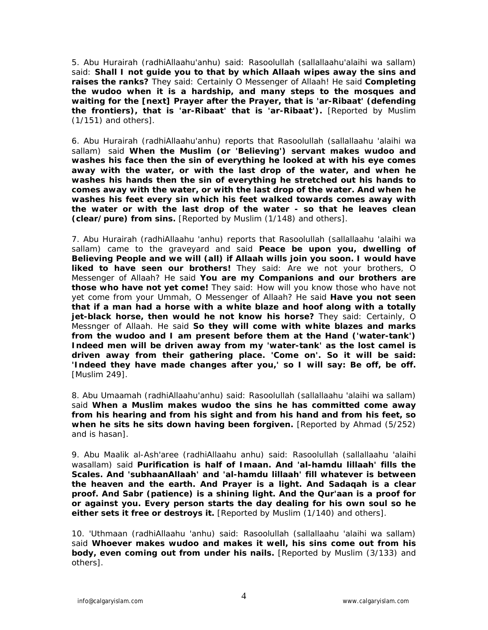5. Abu Hurairah (radhiAllaahu'anhu) said: Rasoolullah (sallallaahu'alaihi wa sallam) said: **Shall I not guide you to that by which Allaah wipes away the sins and raises the ranks?** They said: Certainly O Messenger of Allaah! He said **Completing the wudoo when it is a hardship, and many steps to the mosques and waiting for the [next] Prayer after the Prayer, that is 'ar-Ribaat' (defending the frontiers), that is 'ar-Ribaat' that is 'ar-Ribaat').** [Reported by Muslim (1/151) and others].

6. Abu Hurairah (radhiAllaahu'anhu) reports that Rasoolullah (sallallaahu 'alaihi wa sallam) said **When the Muslim (or 'Believing') servant makes wudoo and washes his face then the sin of everything he looked at with his eye comes away with the water, or with the last drop of the water, and when he washes his hands then the sin of everything he stretched out his hands to comes away with the water, or with the last drop of the water. And when he washes his feet every sin which his feet walked towards comes away with the water or with the last drop of the water - so that he leaves clean (clear/pure) from sins.** [Reported by Muslim (1/148) and others].

7. Abu Hurairah (radhiAllaahu 'anhu) reports that Rasoolullah (sallallaahu 'alaihi wa sallam) came to the graveyard and said **Peace be upon you, dwelling of Believing People and we will (all) if Allaah wills join you soon. I would have liked to have seen our brothers!** They said: Are we not your brothers, O Messenger of Allaah? He said **You are my Companions and our brothers are those who have not yet come!** They said: How will you know those who have not yet come from your Ummah, O Messenger of Allaah? He said **Have you not seen that if a man had a horse with a white blaze and hoof along with a totally jet-black horse, then would he not know his horse?** They said: Certainly, O Messnger of Allaah. He said **So they will come with white blazes and marks from the wudoo and I am present before them at the Hand ('water-tank') Indeed men will be driven away from my 'water-tank' as the lost camel is driven away from their gathering place. 'Come on'. So it will be said: 'Indeed they have made changes after you,' so I will say: Be off, be off.** [Muslim 249].

8. Abu Umaamah (radhiAllaahu'anhu) said: Rasoolullah (sallallaahu 'alaihi wa sallam) said **When a Muslim makes wudoo the sins he has committed come away from his hearing and from his sight and from his hand and from his feet, so when he sits he sits down having been forgiven.** [Reported by Ahmad (5/252) and is hasan].

9. Abu Maalik al-Ash'aree (radhiAllaahu anhu) said: Rasoolullah (sallallaahu 'alaihi wasallam) said **Purification is half of Imaan. And 'al-hamdu lillaah' fills the Scales. And 'subhaanAllaah' and 'al-hamdu lillaah' fill whatever is between the heaven and the earth. And Prayer is a light. And Sadaqah is a clear proof. And Sabr (patience) is a shining light. And the Qur'aan is a proof for or against you. Every person starts the day dealing for his own soul so he either sets it free or destroys it.** [Reported by Muslim (1/140) and others].

10. 'Uthmaan (radhiAllaahu 'anhu) said: Rasoolullah (sallallaahu 'alaihi wa sallam) said **Whoever makes wudoo and makes it well, his sins come out from his body, even coming out from under his nails.** [Reported by Muslim (3/133) and others].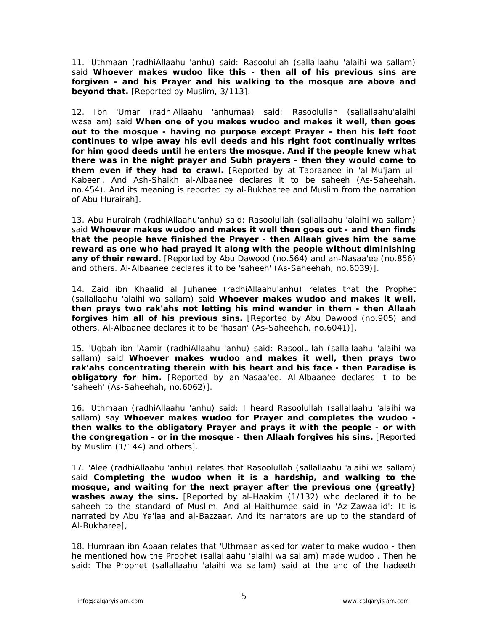11. 'Uthmaan (radhiAllaahu 'anhu) said: Rasoolullah (sallallaahu 'alaihi wa sallam) said **Whoever makes wudoo like this - then all of his previous sins are forgiven - and his Prayer and his walking to the mosque are above and beyond that.** [Reported by Muslim, 3/113].

12. Ibn 'Umar (radhiAllaahu 'anhumaa) said: Rasoolullah (sallallaahu'alaihi wasallam) said **When one of you makes wudoo and makes it well, then goes out to the mosque - having no purpose except Prayer - then his left foot continues to wipe away his evil deeds and his right foot continually writes for him good deeds until he enters the mosque. And if the people knew what there was in the night prayer and Subh prayers - then they would come to them even if they had to crawl.** [Reported by at-Tabraanee in 'al-Mu'jam ul-Kabeer'. And Ash-Shaikh al-Albaanee declares it to be saheeh (As-Saheehah, no.454). And its meaning is reported by al-Bukhaaree and Muslim from the narration of Abu Hurairah].

13. Abu Hurairah (radhiAllaahu'anhu) said: Rasoolullah (sallallaahu 'alaihi wa sallam) said **Whoever makes wudoo and makes it well then goes out - and then finds that the people have finished the Prayer - then Allaah gives him the same reward as one who had prayed it along with the people without diminishing any of their reward.** [Reported by Abu Dawood (no.564) and an-Nasaa'ee (no.856) and others. Al-Albaanee declares it to be 'saheeh' (As-Saheehah, no.6039)].

14. Zaid ibn Khaalid al Juhanee (radhiAllaahu'anhu) relates that the Prophet (sallallaahu 'alaihi wa sallam) said **Whoever makes wudoo and makes it well, then prays two rak'ahs not letting his mind wander in them - then Allaah forgives him all of his previous sins.** [Reported by Abu Dawood (no.905) and others. Al-Albaanee declares it to be 'hasan' (As-Saheehah, no.6041)].

15. 'Uqbah ibn 'Aamir (radhiAllaahu 'anhu) said: Rasoolullah (sallallaahu 'alaihi wa sallam) said **Whoever makes wudoo and makes it well, then prays two rak'ahs concentrating therein with his heart and his face - then Paradise is obligatory for him.** [Reported by an-Nasaa'ee. Al-Albaanee declares it to be 'saheeh' (As-Saheehah, no.6062)].

16. 'Uthmaan (radhiAllaahu 'anhu) said: I heard Rasoolullah (sallallaahu 'alaihi wa sallam) say **Whoever makes wudoo for Prayer and completes the wudoo then walks to the obligatory Prayer and prays it with the people - or with the congregation - or in the mosque - then Allaah forgives his sins.** [Reported by Muslim (1/144) and others].

17. 'Alee (radhiAllaahu 'anhu) relates that Rasoolullah (sallallaahu 'alaihi wa sallam) said **Completing the wudoo when it is a hardship, and walking to the mosque, and waiting for the next prayer after the previous one (greatly) washes away the sins.** [Reported by al-Haakim (1/132) who declared it to be saheeh to the standard of Muslim. And al-Haithumee said in 'Az-Zawaa-id': It is narrated by Abu Ya'laa and al-Bazzaar. And its narrators are up to the standard of Al-Bukharee],

18. Humraan ibn Abaan relates that 'Uthmaan asked for water to make wudoo - then he mentioned how the Prophet (sallallaahu 'alaihi wa sallam) made wudoo . Then he said: The Prophet (sallallaahu 'alaihi wa sallam) said at the end of the hadeeth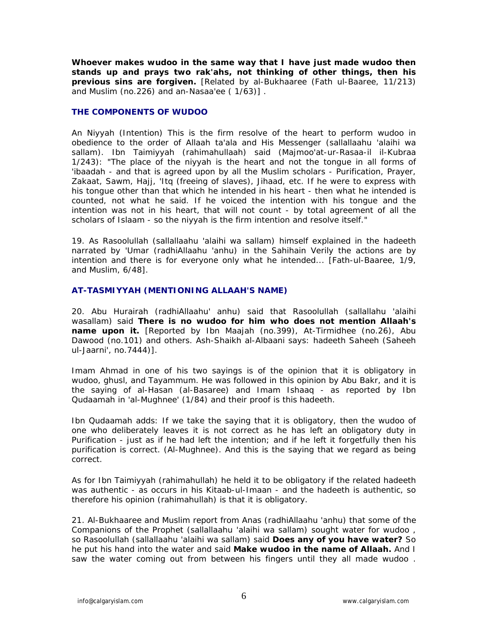**Whoever makes wudoo in the same way that I have just made wudoo then stands up and prays two rak'ahs, not thinking of other things, then his previous sins are forgiven.** [Related by al-Bukhaaree (Fath ul-Baaree, 11/213) and Muslim (no.226) and an-Nasaa'ee ( 1/63)] .

## **THE COMPONENTS OF WUDOO**

An Niyyah (Intention) This is the firm resolve of the heart to perform wudoo in obedience to the order of Allaah ta'ala and His Messenger (sallallaahu 'alaihi wa sallam). Ibn Taimiyyah (rahimahullaah) said (Majmoo'at-ur-Rasaa-il il-Kubraa 1/243): "The place of the niyyah is the heart and not the tongue in all forms of 'ibaadah - and that is agreed upon by all the Muslim scholars - Purification, Prayer, Zakaat, Sawm, Hajj, 'Itq (freeing of slaves), Jihaad, etc. If he were to express with his tongue other than that which he intended in his heart - then what he intended is counted, not what he said. If he voiced the intention with his tongue and the intention was not in his heart, that will not count - by total agreement of all the scholars of Islaam - so the niyyah is the firm intention and resolve itself."

19. As Rasoolullah (sallallaahu 'alaihi wa sallam) himself explained in the hadeeth narrated by 'Umar (radhiAllaahu 'anhu) in the Sahihain Verily the actions are by intention and there is for everyone only what he intended... [Fath-ul-Baaree, 1/9, and Muslim, 6/48].

## **AT-TASMIYYAH (MENTIONING ALLAAH'S NAME)**

20. Abu Hurairah (radhiAllaahu' anhu) said that Rasoolullah (sallallahu 'alaihi wasallam) said **There is no wudoo for him who does not mention Allaah's name upon it.** [Reported by Ibn Maajah (no.399), At-Tirmidhee (no.26), Abu Dawood (no.101) and others. Ash-Shaikh al-Albaani says: hadeeth Saheeh (Saheeh ul-Jaarni', no.7444)].

Imam Ahmad in one of his two sayings is of the opinion that it is obligatory in wudoo, ghusl, and Tayammum. He was followed in this opinion by Abu Bakr, and it is the saying of al-Hasan (al-Basaree) and Imam Ishaaq - as reported by Ibn Qudaamah in 'al-Mughnee' (1/84) and their proof is this hadeeth.

Ibn Qudaamah adds: If we take the saying that it is obligatory, then the wudoo of one who deliberately leaves it is not correct as he has left an obligatory duty in Purification - just as if he had left the intention; and if he left it forgetfully then his purification is correct. (Al-Mughnee). And this is the saying that we regard as being correct.

As for Ibn Taimiyyah (rahimahullah) he held it to be obligatory if the related hadeeth was authentic - as occurs in his Kitaab-ul-Imaan - and the hadeeth is authentic, so therefore his opinion (rahimahullah) is that it is obligatory.

21. Al-Bukhaaree and Muslim report from Anas (radhiAllaahu 'anhu) that some of the Companions of the Prophet (sallallaahu 'alaihi wa sallam) sought water for wudoo , so Rasoolullah (sallallaahu 'alaihi wa sallam) said **Does any of you have water?** So he put his hand into the water and said **Make wudoo in the name of Allaah.** And I saw the water coming out from between his fingers until they all made wudoo .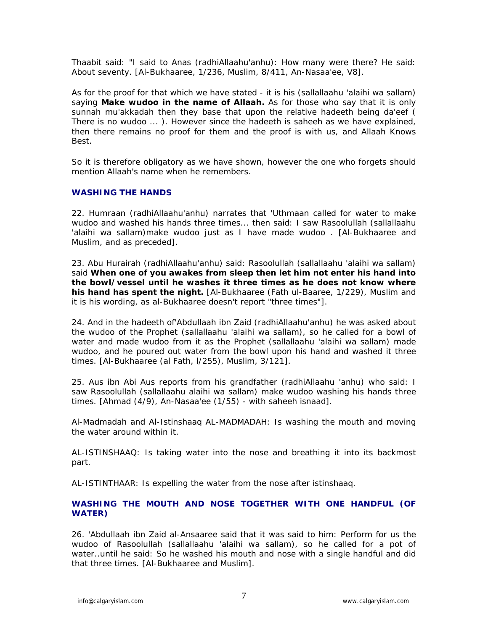Thaabit said: "I said to Anas (radhiAllaahu'anhu): How many were there? He said: About seventy. [Al-Bukhaaree, 1/236, Muslim, 8/411, An-Nasaa'ee, V8].

As for the proof for that which we have stated - it is his (sallallaahu 'alaihi wa sallam) saying **Make wudoo in the name of Allaah.** As for those who say that it is only sunnah mu'akkadah then they base that upon the relative hadeeth being da'eef ( There is no wudoo ... ). However since the hadeeth is saheeh as we have explained, then there remains no proof for them and the proof is with us, and Allaah Knows Best.

So it is therefore obligatory as we have shown, however the one who forgets should mention Allaah's name when he remembers.

## **WASHING THE HANDS**

22. Humraan (radhiAllaahu'anhu) narrates that 'Uthmaan called for water to make wudoo and washed his hands three times... then said: I saw Rasoolullah (sallallaahu 'alaihi wa sallam)make wudoo just as I have made wudoo . [Al-Bukhaaree and Muslim, and as preceded].

23. Abu Hurairah (radhiAllaahu'anhu) said: Rasoolullah (sallallaahu 'alaihi wa sallam) said **When one of you awakes from sleep then let him not enter his hand into the bowl/vessel until he washes it three times as he does not know where his hand has spent the night.** [Al-Bukhaaree (Fath ul-Baaree, 1/229), Muslim and it is his wording, as al-Bukhaaree doesn't report "three times"].

24. And in the hadeeth of'Abdullaah ibn Zaid (radhiAllaahu'anhu) he was asked about the wudoo of the Prophet (sallallaahu 'alaihi wa sallam), so he called for a bowl of water and made wudoo from it as the Prophet (sallallaahu 'alaihi wa sallam) made wudoo, and he poured out water from the bowl upon his hand and washed it three times. [Al-Bukhaaree (al Fath, l/255), Muslim, 3/121].

25. Aus ibn Abi Aus reports from his grandfather (radhiAllaahu 'anhu) who said: I saw Rasoolullah (sallallaahu alaihi wa sallam) make wudoo washing his hands three times. [Ahmad (4/9), An-Nasaa'ee (1/55) - with saheeh isnaad].

Al-Madmadah and Al-Istinshaaq AL-MADMADAH: Is washing the mouth and moving the water around within it.

AL-ISTINSHAAQ: Is taking water into the nose and breathing it into its backmost part.

AL-ISTINTHAAR: Is expelling the water from the nose after istinshaaq.

# **WASHING THE MOUTH AND NOSE TOGETHER WITH ONE HANDFUL (OF WATER)**

26. 'Abdullaah ibn Zaid al-Ansaaree said that it was said to him: Perform for us the wudoo of Rasoolullah (sallallaahu 'alaihi wa sallam), so he called for a pot of water..until he said: So he washed his mouth and nose with a single handful and did that three times. [Al-Bukhaaree and Muslim].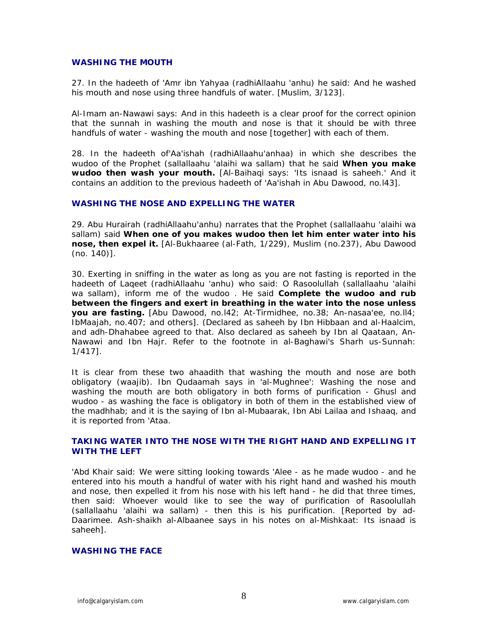## **WASHING THE MOUTH**

27. In the hadeeth of 'Amr ibn Yahyaa (radhiAllaahu 'anhu) he said: And he washed his mouth and nose using three handfuls of water. [Muslim, 3/123].

Al-Imam an-Nawawi says: And in this hadeeth is a clear proof for the correct opinion that the sunnah in washing the mouth and nose is that it should be with three handfuls of water - washing the mouth and nose [together] with each of them.

28. In the hadeeth of'Aa'ishah (radhiAllaahu'anhaa) in which she describes the wudoo of the Prophet (sallallaahu 'alaihi wa sallam) that he said **When you make wudoo then wash your mouth.** [Al-Baihaqi says: 'Its isnaad is saheeh.' And it contains an addition to the previous hadeeth of 'Aa'ishah in Abu Dawood, no.l43].

## **WASHING THE NOSE AND EXPELLING THE WATER**

29. Abu Hurairah (radhiAllaahu'anhu) narrates that the Prophet (sallallaahu 'alaihi wa sallam) said **When one of you makes wudoo then let him enter water into his nose, then expel it.** [Al-Bukhaaree (al-Fath, 1/229), Muslim (no.237), Abu Dawood (no. 140)].

30. Exerting in sniffing in the water as long as you are not fasting is reported in the hadeeth of Laqeet (radhiAllaahu 'anhu) who said: O Rasoolullah (sallallaahu 'alaihi wa sallam), inform me of the wudoo . He said **Complete the wudoo and rub between the fingers and exert in breathing in the water into the nose unless you are fasting.** [Abu Dawood, no.l42; At-Tirmidhee, no.38; An-nasaa'ee, no.ll4; IbMaajah, no.407; and others]. (Declared as saheeh by Ibn Hibbaan and al-Haalcim, and adh-Dhahabee agreed to that. Also declared as saheeh by Ibn al Qaataan, An-Nawawi and Ibn Hajr. Refer to the footnote in al-Baghawi's Sharh us-Sunnah: 1/417].

It is clear from these two ahaadith that washing the mouth and nose are both obligatory (waajib). Ibn Qudaamah says in 'al-Mughnee': Washing the nose and washing the mouth are both obligatory in both forms of purification - Ghusl and wudoo - as washing the face is obligatory in both of them in the established view of the madhhab; and it is the saying of Ibn al-Mubaarak, Ibn Abi Lailaa and Ishaaq, and it is reported from 'Ataa.

# **TAKING WATER INTO THE NOSE WITH THE RIGHT HAND AND EXPELLING IT WITH THE LEFT**

'Abd Khair said: We were sitting looking towards 'Alee - as he made wudoo - and he entered into his mouth a handful of water with his right hand and washed his mouth and nose, then expelled it from his nose with his left hand - he did that three times, then said: Whoever would like to see the way of purification of Rasoolullah (sallallaahu 'alaihi wa sallam) - then this is his purification. [Reported by ad-Daarimee. Ash-shaikh al-Albaanee says in his notes on al-Mishkaat: Its isnaad is saheeh].

# **WASHING THE FACE**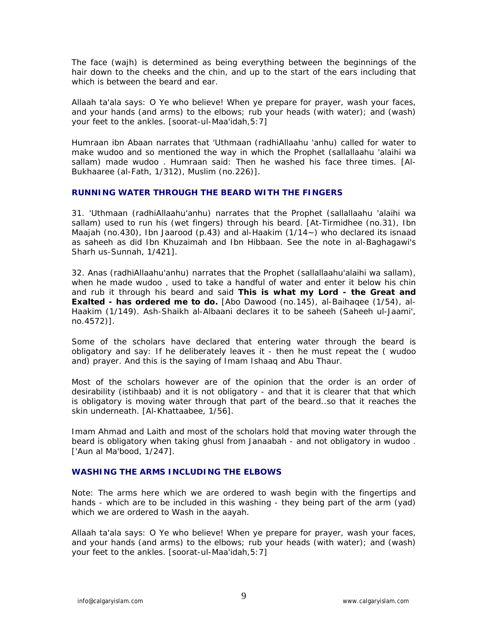The face (wajh) is determined as being everything between the beginnings of the hair down to the cheeks and the chin, and up to the start of the ears including that which is between the beard and ear.

Allaah ta'ala says: O Ye who believe! When ye prepare for prayer, wash your faces, and your hands (and arms) to the elbows; rub your heads (with water); and (wash) your feet to the ankles. [soorat-ul-Maa'idah,5:7]

Humraan ibn Abaan narrates that 'Uthmaan (radhiAllaahu 'anhu) called for water to make wudoo and so mentioned the way in which the Prophet (sallallaahu 'alaihi wa sallam) made wudoo . Humraan said: Then he washed his face three times. [Al-Bukhaaree (al-Fath, 1/312), Muslim (no.226)].

## **RUNNING WATER THROUGH THE BEARD WITH THE FINGERS**

31. 'Uthmaan (radhiAllaahu'anhu) narrates that the Prophet (sallallaahu 'alaihi wa sallam) used to run his (wet fingers) through his beard. [At-Tirmidhee (no.31), Ibn Maajah (no.430), Ibn Jaarood (p.43) and al-Haakim (1/14~) who declared its isnaad as saheeh as did Ibn Khuzaimah and Ibn Hibbaan. See the note in al-Baghagawi's Sharh us-Sunnah, 1/421].

32. Anas (radhiAllaahu'anhu) narrates that the Prophet (sallallaahu'alaihi wa sallam), when he made wudoo , used to take a handful of water and enter it below his chin and rub it through his beard and said **This is what my Lord - the Great and Exalted - has ordered me to do.** [Abo Dawood (no.145), al-Baihaqee (1/54), al-Haakim (1/149). Ash-Shaikh al-Albaani declares it to be saheeh (Saheeh ul-Jaami', no.4572)].

Some of the scholars have declared that entering water through the beard is obligatory and say: If he deliberately leaves it - then he must repeat the ( wudoo and) prayer. And this is the saying of Imam Ishaaq and Abu Thaur.

Most of the scholars however are of the opinion that the order is an order of desirability (istihbaab) and it is not obligatory - and that it is clearer that that which is obligatory is moving water through that part of the beard..so that it reaches the skin underneath. [Al-Khattaabee, 1/56].

Imam Ahmad and Laith and most of the scholars hold that moving water through the beard is obligatory when taking ghusl from Janaabah - and not obligatory in wudoo . ['Aun al Ma'bood, 1/247].

# **WASHING THE ARMS INCLUDING THE ELBOWS**

Note: The arms here which we are ordered to wash begin with the fingertips and hands - which are to be included in this washing - they being part of the arm (yad) which we are ordered to Wash in the aayah.

Allaah ta'ala says: O Ye who believe! When ye prepare for prayer, wash your faces, and your hands (and arms) to the elbows; rub your heads (with water); and (wash) your feet to the ankles. [soorat-ul-Maa'idah,5:7]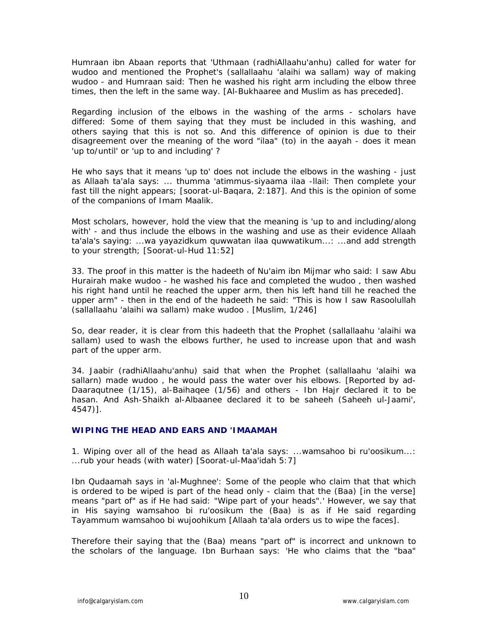Humraan ibn Abaan reports that 'Uthmaan (radhiAllaahu'anhu) called for water for wudoo and mentioned the Prophet's (sallallaahu 'alaihi wa sallam) way of making wudoo - and Humraan said: Then he washed his right arm including the elbow three times, then the left in the same way. [Al-Bukhaaree and Muslim as has preceded].

Regarding inclusion of the elbows in the washing of the arms - scholars have differed: Some of them saying that they must be included in this washing, and others saying that this is not so. And this difference of opinion is due to their disagreement over the meaning of the word "ilaa" (to) in the aayah - does it mean 'up to/until' or 'up to and including' ?

He who says that it means 'up to' does not include the elbows in the washing - just as Allaah ta'ala says: ... thumma 'atimmus-siyaama ilaa -llail: Then complete your fast till the night appears; [soorat-ul-Baqara, 2:187]. And this is the opinion of some of the companions of Imam Maalik.

Most scholars, however, hold the view that the meaning is 'up to and including/along with' - and thus include the elbows in the washing and use as their evidence Allaah ta'ala's saying: ...wa yayazidkum quwwatan ilaa quwwatikum...: ...and add strength to your strength; [Soorat-ul-Hud 11:52]

33. The proof in this matter is the hadeeth of Nu'aim ibn Mijmar who said: I saw Abu Hurairah make wudoo - he washed his face and completed the wudoo , then washed his right hand until he reached the upper arm, then his left hand till he reached the upper arm" - then in the end of the hadeeth he said: "This is how I saw Rasoolullah (sallallaahu 'alaihi wa sallam) make wudoo . [Muslim, 1/246]

So, dear reader, it is clear from this hadeeth that the Prophet (sallallaahu 'alaihi wa sallam) used to wash the elbows further, he used to increase upon that and wash part of the upper arm.

34. Jaabir (radhiAllaahu'anhu) said that when the Prophet (sallallaahu 'alaihi wa sallarn) made wudoo , he would pass the water over his elbows. [Reported by ad-Daaraqutnee (1/15), al-Baihaqee (1/56) and others - Ibn Hajr declared it to be hasan. And Ash-Shaikh al-Albaanee declared it to be saheeh (Saheeh ul-Jaami', 4547)].

# **WIPING THE HEAD AND EARS AND 'IMAAMAH**

1. Wiping over all of the head as Allaah ta'ala says: ...wamsahoo bi ru'oosikum...: ...rub your heads (with water) [Soorat-ul-Maa'idah 5:7]

Ibn Qudaamah says in 'al-Mughnee': Some of the people who claim that that which is ordered to be wiped is part of the head only - claim that the (Baa) [in the verse] means "part of" as if He had said: "Wipe part of your heads".' However, we say that in His saying wamsahoo bi ru'oosikum the (Baa) is as if He said regarding Tayammum wamsahoo bi wujoohikum [Allaah ta'ala orders us to wipe the faces].

Therefore their saying that the (Baa) means "part of" is incorrect and unknown to the scholars of the language. Ibn Burhaan says: 'He who claims that the "baa"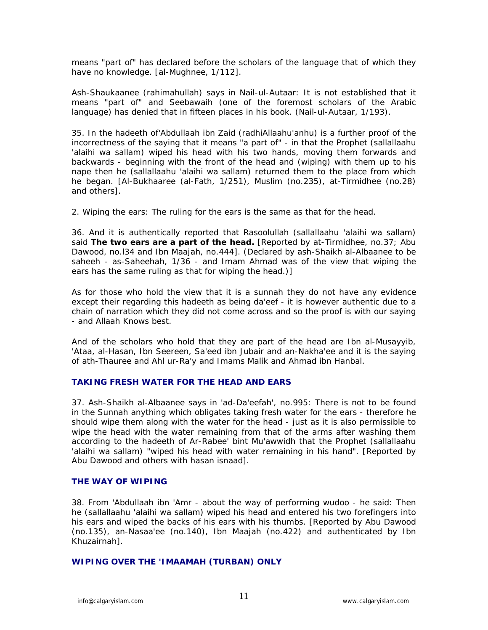means "part of" has declared before the scholars of the language that of which they have no knowledge. [al-Mughnee, 1/112].

Ash-Shaukaanee (rahimahullah) says in Nail-ul-Autaar: It is not established that it means "part of" and Seebawaih (one of the foremost scholars of the Arabic language) has denied that in fifteen places in his book. (Nail-ul-Autaar, 1/193).

35. In the hadeeth of'Abdullaah ibn Zaid (radhiAllaahu'anhu) is a further proof of the incorrectness of the saying that it means "a part of" - in that the Prophet (sallallaahu 'alaihi wa sallam) wiped his head with his two hands, moving them forwards and backwards - beginning with the front of the head and (wiping) with them up to his nape then he (sallallaahu 'alaihi wa sallam) returned them to the place from which he began. [Al-Bukhaaree (al-Fath, 1/251), Muslim (no.235), at-Tirmidhee (no.28) and others].

2. Wiping the ears: The ruling for the ears is the same as that for the head.

36. And it is authentically reported that Rasoolullah (sallallaahu 'alaihi wa sallam) said **The two ears are a part of the head.** [Reported by at-Tirmidhee, no.37; Abu Dawood, no.l34 and Ibn Maajah, no.444]. (Declared by ash-Shaikh al-Albaanee to be saheeh - as-Saheehah, 1/36 - and Imam Ahmad was of the view that wiping the ears has the same ruling as that for wiping the head.)]

As for those who hold the view that it is a sunnah they do not have any evidence except their regarding this hadeeth as being da'eef - it is however authentic due to a chain of narration which they did not come across and so the proof is with our saying - and Allaah Knows best.

And of the scholars who hold that they are part of the head are Ibn al-Musayyib, 'Ataa, al-Hasan, Ibn Seereen, Sa'eed ibn Jubair and an-Nakha'ee and it is the saying of ath-Thauree and Ahl ur-Ra'y and Imams Malik and Ahmad ibn Hanbal.

# **TAKING FRESH WATER FOR THE HEAD AND EARS**

37. Ash-Shaikh al-Albaanee says in 'ad-Da'eefah', no.995: There is not to be found in the Sunnah anything which obligates taking fresh water for the ears - therefore he should wipe them along with the water for the head - just as it is also permissible to wipe the head with the water remaining from that of the arms after washing them according to the hadeeth of Ar-Rabee' bint Mu'awwidh that the Prophet (sallallaahu 'alaihi wa sallam) "wiped his head with water remaining in his hand". [Reported by Abu Dawood and others with hasan isnaad].

# **THE WAY OF WIPING**

38. From 'Abdullaah ibn 'Amr - about the way of performing wudoo - he said: Then he (sallallaahu 'alaihi wa sallam) wiped his head and entered his two forefingers into his ears and wiped the backs of his ears with his thumbs. [Reported by Abu Dawood (no.135), an-Nasaa'ee (no.140), Ibn Maajah (no.422) and authenticated by Ibn Khuzairnah].

# **WIPING OVER THE 'IMAAMAH (TURBAN) ONLY**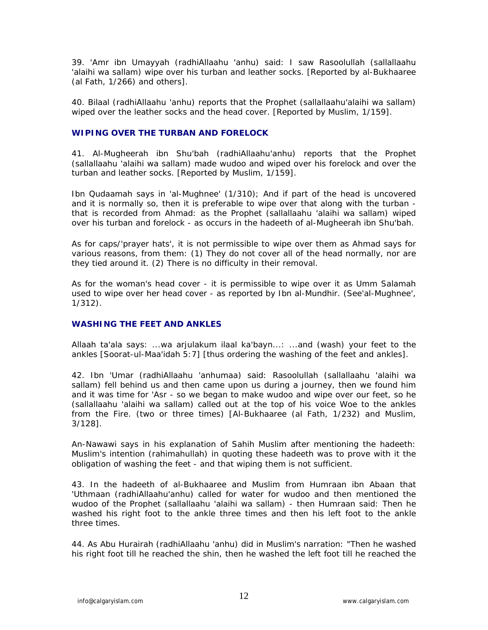39. 'Amr ibn Umayyah (radhiAllaahu 'anhu) said: I saw Rasoolullah (sallallaahu 'alaihi wa sallam) wipe over his turban and leather socks. [Reported by al-Bukhaaree (al Fath, 1/266) and others].

40. Bilaal (radhiAllaahu 'anhu) reports that the Prophet (sallallaahu'alaihi wa sallam) wiped over the leather socks and the head cover. [Reported by Muslim, 1/159].

## **WIPING OVER THE TURBAN AND FORELOCK**

41. Al-Mugheerah ibn Shu'bah (radhiAllaahu'anhu) reports that the Prophet (sallallaahu 'alaihi wa sallam) made wudoo and wiped over his forelock and over the turban and leather socks. [Reported by Muslim, 1/159].

Ibn Qudaamah says in 'al-Mughnee' (1/310); And if part of the head is uncovered and it is normally so, then it is preferable to wipe over that along with the turban that is recorded from Ahmad: as the Prophet (sallallaahu 'alaihi wa sallam) wiped over his turban and forelock - as occurs in the hadeeth of al-Mugheerah ibn Shu'bah.

As for caps/'prayer hats', it is not permissible to wipe over them as Ahmad says for various reasons, from them: (1) They do not cover all of the head normally, nor are they tied around it. (2) There is no difficulty in their removal.

As for the woman's head cover - it is permissible to wipe over it as Umm Salamah used to wipe over her head cover - as reported by Ibn al-Mundhir. (See'al-Mughnee', 1/312).

# **WASHING THE FEET AND ANKLES**

Allaah ta'ala says: ...wa arjulakum ilaal ka'bayn...: ...and (wash) your feet to the ankles [Soorat-ul-Maa'idah 5:7] [thus ordering the washing of the feet and ankles].

42. Ibn 'Umar (radhiAllaahu 'anhumaa) said: Rasoolullah (sallallaahu 'alaihi wa sallam) fell behind us and then came upon us during a journey, then we found him and it was time for 'Asr - so we began to make wudoo and wipe over our feet, so he (sallallaahu 'alaihi wa sallam) called out at the top of his voice Woe to the ankles from the Fire. (two or three times) [Al-Bukhaaree (al Fath, 1/232) and Muslim, 3/128].

An-Nawawi says in his explanation of Sahih Muslim after mentioning the hadeeth: Muslim's intention (rahimahullah) in quoting these hadeeth was to prove with it the obligation of washing the feet - and that wiping them is not sufficient.

43. In the hadeeth of al-Bukhaaree and Muslim from Humraan ibn Abaan that 'Uthmaan (radhiAllaahu'anhu) called for water for wudoo and then mentioned the wudoo of the Prophet (sallallaahu 'alaihi wa sallam) - then Humraan said: Then he washed his right foot to the ankle three times and then his left foot to the ankle three times.

44. As Abu Hurairah (radhiAllaahu 'anhu) did in Muslim's narration: "Then he washed his right foot till he reached the shin, then he washed the left foot till he reached the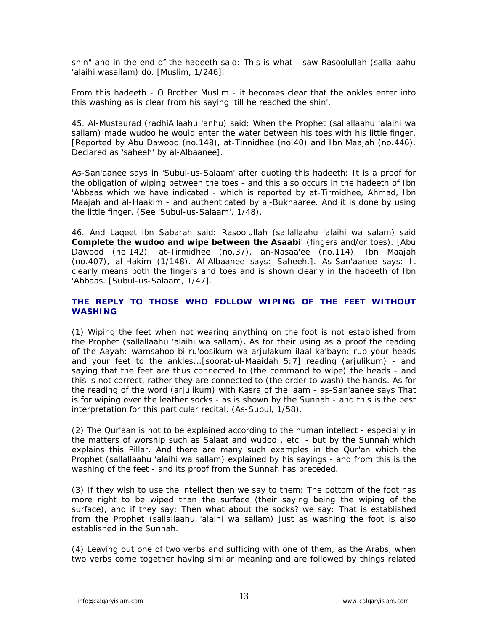shin" and in the end of the hadeeth said: This is what I saw Rasoolullah (sallallaahu 'alaihi wasallam) do. [Muslim, 1/246].

From this hadeeth - O Brother Muslim - it becomes clear that the ankles enter into this washing as is clear from his saying 'till he reached the shin'.

45. Al-Mustaurad (radhiAllaahu 'anhu) said: When the Prophet (sallallaahu 'alaihi wa sallam) made wudoo he would enter the water between his toes with his little finger. [Reported by Abu Dawood (no.148), at-Tinnidhee (no.40) and Ibn Maajah (no.446). Declared as 'saheeh' by al-Albaanee].

As-San'aanee says in 'Subul-us-Salaam' after quoting this hadeeth: It is a proof for the obligation of wiping between the toes - and this also occurs in the hadeeth of Ibn 'Abbaas which we have indicated - which is reported by at-Tirmidhee, Ahmad, Ibn Maajah and al-Haakim - and authenticated by al-Bukhaaree. And it is done by using the little finger. (See 'Subul-us-Salaam', 1/48).

46. And Laqeet ibn Sabarah said: Rasoolullah (sallallaahu 'alaihi wa salam) said **Complete the wudoo and wipe between the Asaabi'** (fingers and/or toes). [Abu Dawood (no.142), at-Tirmidhee (no.37), an-Nasaa'ee (no.114), Ibn Maajah (no.407), al-Hakim (1/148). Al-Albaanee says: Saheeh.]. As-San'aanee says: It clearly means both the fingers and toes and is shown clearly in the hadeeth of Ibn 'Abbaas. [Subul-us-Salaam, 1/47].

# **THE REPLY TO THOSE WHO FOLLOW WIPING OF THE FEET WITHOUT WASHING**

(1) Wiping the feet when not wearing anything on the foot is not established from the Prophet (sallallaahu 'alaihi wa sallam)**.** As for their using as a proof the reading of the Aayah: wamsahoo bi ru'oosikum wa arjulakum ilaal ka'bayn: rub your heads and your feet to the ankles...[soorat-ul-Maaidah 5:7] reading (arjulikum) - and saying that the feet are thus connected to (the command to wipe) the heads - and this is not correct, rather they are connected to (the order to wash) the hands. As for the reading of the word (arjulikum) with Kasra of the laam - as-San'aanee says That is for wiping over the leather socks - as is shown by the Sunnah - and this is the best interpretation for this particular recital. (As-Subul, 1/58).

(2) The Qur'aan is not to be explained according to the human intellect - especially in the matters of worship such as Salaat and wudoo , etc. - but by the Sunnah which explains this Pillar. And there are many such examples in the Qur'an which the Prophet (sallallaahu 'alaihi wa sallam) explained by his sayings - and from this is the washing of the feet - and its proof from the Sunnah has preceded.

(3) If they wish to use the intellect then we say to them: The bottom of the foot has more right to be wiped than the surface (their saying being the wiping of the surface), and if they say: Then what about the socks? we say: That is established from the Prophet (sallallaahu 'alaihi wa sallam) just as washing the foot is also established in the Sunnah.

(4) Leaving out one of two verbs and sufficing with one of them, as the Arabs, when two verbs come together having similar meaning and are followed by things related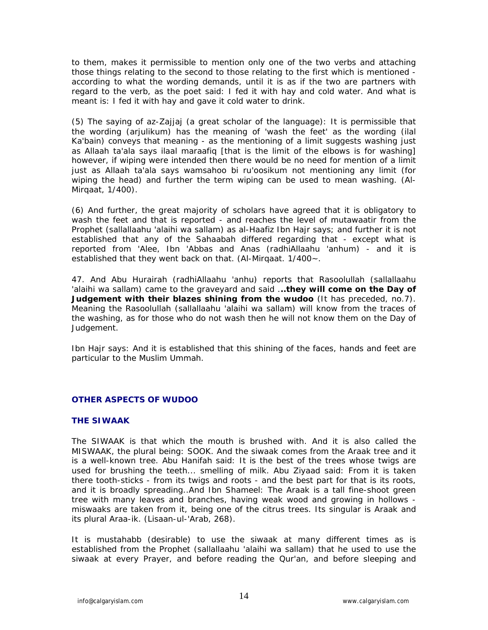to them, makes it permissible to mention only one of the two verbs and attaching those things relating to the second to those relating to the first which is mentioned according to what the wording demands, until it is as if the two are partners with regard to the verb, as the poet said: I fed it with hay and cold water. And what is meant is: I fed it with hay and gave it cold water to drink.

(5) The saying of az-Zajjaj (a great scholar of the language): It is permissible that the wording (arjulikum) has the meaning of 'wash the feet' as the wording (ilal Ka'bain) conveys that meaning - as the mentioning of a limit suggests washing just as Allaah ta'ala says ilaal maraafiq [that is the limit of the elbows is for washing] however, if wiping were intended then there would be no need for mention of a limit just as Allaah ta'ala says wamsahoo bi ru'oosikum not mentioning any limit (for wiping the head) and further the term wiping can be used to mean washing. (Al-Mirqaat, 1/400).

(6) And further, the great majority of scholars have agreed that it is obligatory to wash the feet and that is reported - and reaches the level of mutawaatir from the Prophet (sallallaahu 'alaihi wa sallam) as al-Haafiz Ibn Hajr says; and further it is not established that any of the Sahaabah differed regarding that - except what is reported from 'Alee, Ibn 'Abbas and Anas (radhiAllaahu 'anhum) - and it is established that they went back on that. (Al-Mirqaat. 1/400~.

47. And Abu Hurairah (radhiAllaahu 'anhu) reports that Rasoolullah (sallallaahu 'alaihi wa sallam) came to the graveyard and said .**..they will come on the Day of Judgement with their blazes shining from the wudoo** (It has preceded, no.7). Meaning the Rasoolullah (sallallaahu 'alaihi wa sallam) will know from the traces of the washing, as for those who do not wash then he will not know them on the Day of Judgement.

Ibn Hajr says: And it is established that this shining of the faces, hands and feet are particular to the Muslim Ummah.

# **OTHER ASPECTS OF WUDOO**

# **THE SIWAAK**

The SIWAAK is that which the mouth is brushed with. And it is also called the MISWAAK, the plural being: SOOK. And the siwaak comes from the Araak tree and it is a well-known tree. Abu Hanifah said: It is the best of the trees whose twigs are used for brushing the teeth... smelling of milk. Abu Ziyaad said: From it is taken there tooth-sticks - from its twigs and roots - and the best part for that is its roots, and it is broadly spreading..And Ibn Shameel: The Araak is a tall fine-shoot green tree with many leaves and branches, having weak wood and growing in hollows miswaaks are taken from it, being one of the citrus trees. Its singular is Araak and its plural Araa-ik. (Lisaan-ul-'Arab, 268).

It is mustahabb (desirable) to use the siwaak at many different times as is established from the Prophet (sallallaahu 'alaihi wa sallam) that he used to use the siwaak at every Prayer, and before reading the Qur'an, and before sleeping and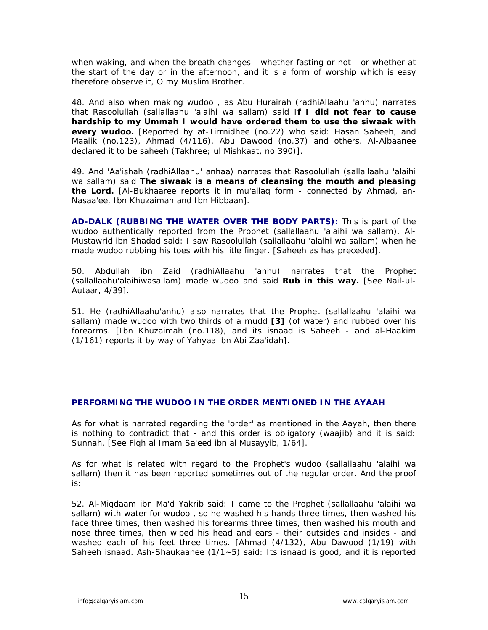when waking, and when the breath changes - whether fasting or not - or whether at the start of the day or in the afternoon, and it is a form of worship which is easy therefore observe it, O my Muslim Brother.

48. And also when making wudoo , as Abu Hurairah (radhiAllaahu 'anhu) narrates that Rasoolullah (sallallaahu 'alaihi wa sallam) said I**f I did not fear to cause hardship to my Ummah I would have ordered them to use the siwaak with every wudoo.** [Reported by at-Tirrnidhee (no.22) who said: Hasan Saheeh, and Maalik (no.123), Ahmad (4/116), Abu Dawood (no.37) and others. Al-Albaanee declared it to be saheeh (Takhree; ul Mishkaat, no.390)].

49. And 'Aa'ishah (radhiAllaahu' anhaa) narrates that Rasoolullah (sallallaahu 'alaihi wa sallam) said **The siwaak is a means of cleansing the mouth and pleasing the Lord.** [Al-Bukhaaree reports it in mu'allaq form - connected by Ahmad, an-Nasaa'ee, Ibn Khuzaimah and Ibn Hibbaan].

**AD-DALK (RUBBING THE WATER OVER THE BODY PARTS):** This is part of the wudoo authentically reported from the Prophet (sallallaahu 'alaihi wa sallam). Al-Mustawrid ibn Shadad said: I saw Rasoolullah (sailallaahu 'alaihi wa sallam) when he made wudoo rubbing his toes with his litle finger. [Saheeh as has preceded].

50. Abdullah ibn Zaid (radhiAllaahu 'anhu) narrates that the Prophet (sallallaahu'alaihiwasallam) made wudoo and said **Rub in this way.** [See Nail-ul-Autaar, 4/39].

51. He (radhiAllaahu'anhu) also narrates that the Prophet (sallallaahu 'alaihi wa sallam) made wudoo with two thirds of a mudd **[3]** (of water) and rubbed over his forearms. [Ibn Khuzaimah (no.118), and its isnaad is Saheeh - and al-Haakim (1/161) reports it by way of Yahyaa ibn Abi Zaa'idah].

# **PERFORMING THE WUDOO IN THE ORDER MENTIONED IN THE AYAAH**

As for what is narrated regarding the 'order' as mentioned in the Aayah, then there is nothing to contradict that - and this order is obligatory (waajib) and it is said: Sunnah. [See Fiqh al Imam Sa'eed ibn al Musayyib, 1/64].

As for what is related with regard to the Prophet's wudoo (sallallaahu 'alaihi wa sallam) then it has been reported sometimes out of the regular order. And the proof is:

52. Al-Miqdaam ibn Ma'd Yakrib said: I came to the Prophet (sallallaahu 'alaihi wa sallam) with water for wudoo , so he washed his hands three times, then washed his face three times, then washed his forearms three times, then washed his mouth and nose three times, then wiped his head and ears - their outsides and insides - and washed each of his feet three times. [Ahmad (4/132), Abu Dawood (1/19) with Saheeh isnaad. Ash-Shaukaanee (1/1~5) said: Its isnaad is good, and it is reported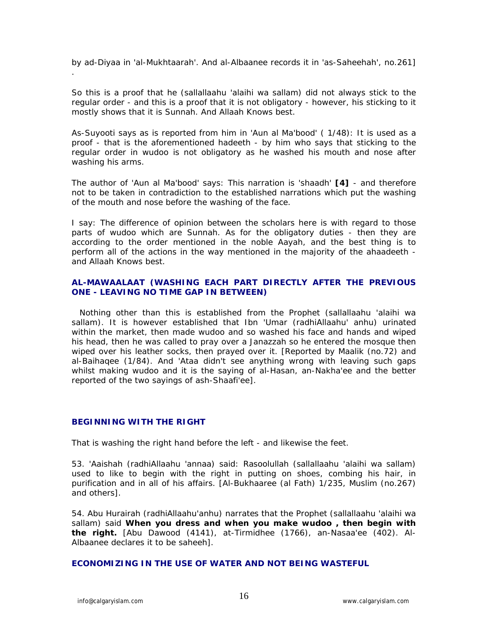by ad-Diyaa in 'al-Mukhtaarah'. And al-Albaanee records it in 'as-Saheehah', no.261] .

So this is a proof that he (sallallaahu 'alaihi wa sallam) did not always stick to the regular order - and this is a proof that it is not obligatory - however, his sticking to it mostly shows that it is Sunnah. And Allaah Knows best.

As-Suyooti says as is reported from him in 'Aun al Ma'bood' ( 1/48): It is used as a proof - that is the aforementioned hadeeth - by him who says that sticking to the regular order in wudoo is not obligatory as he washed his mouth and nose after washing his arms.

The author of 'Aun al Ma'bood' says: This narration is 'shaadh' **[4]** - and therefore not to be taken in contradiction to the established narrations which put the washing of the mouth and nose before the washing of the face.

I say: The difference of opinion between the scholars here is with regard to those parts of wudoo which are Sunnah. As for the obligatory duties - then they are according to the order mentioned in the noble Aayah, and the best thing is to perform all of the actions in the way mentioned in the majority of the ahaadeeth and Allaah Knows best.

# **AL-MAWAALAAT (WASHING EACH PART DIRECTLY AFTER THE PREVIOUS ONE - LEAVING NO TIME GAP IN BETWEEN)**

 Nothing other than this is established from the Prophet (sallallaahu 'alaihi wa sallam). It is however established that Ibn 'Umar (radhiAllaahu' anhu) urinated within the market, then made wudoo and so washed his face and hands and wiped his head, then he was called to pray over a Janazzah so he entered the mosque then wiped over his leather socks, then prayed over it. [Reported by Maalik (no.72) and al-Baihaqee (1/84). And 'Ataa didn't see anything wrong with leaving such gaps whilst making wudoo and it is the saying of al-Hasan, an-Nakha'ee and the better reported of the two sayings of ash-Shaafi'ee].

# **BEGINNING WITH THE RIGHT**

That is washing the right hand before the left - and likewise the feet.

53. 'Aaishah (radhiAllaahu 'annaa) said: Rasoolullah (sallallaahu 'alaihi wa sallam) used to like to begin with the right in putting on shoes, combing his hair, in purification and in all of his affairs. [Al-Bukhaaree (al Fath) 1/235, Muslim (no.267) and others].

54. Abu Hurairah (radhiAllaahu'anhu) narrates that the Prophet (sallallaahu 'alaihi wa sallam) said **When you dress and when you make wudoo , then begin with the right.** [Abu Dawood (4141), at-Tirmidhee (1766), an-Nasaa'ee (402). Al-Albaanee declares it to be saheeh].

**ECONOMIZING IN THE USE OF WATER AND NOT BEING WASTEFUL**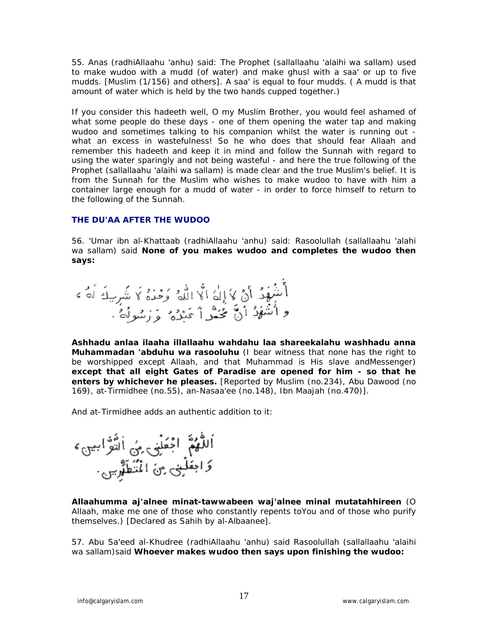55. Anas (radhiAllaahu 'anhu) said: The Prophet (sallallaahu 'alaihi wa sallam) used to make wudoo with a mudd (of water) and make ghusl with a saa' or up to five mudds. [Muslim (1/156) and others]. A saa' is equal to four mudds. ( A mudd is that amount of water which is held by the two hands cupped together.)

If you consider this hadeeth well, O my Muslim Brother, you would feel ashamed of what some people do these days - one of them opening the water tap and making wudoo and sometimes talking to his companion whilst the water is running out what an excess in wastefulness! So he who does that should fear Allaah and remember this hadeeth and keep it in mind and follow the Sunnah with regard to using the water sparingly and not being wasteful - and here the true following of the Prophet (sallallaahu 'alaihi wa sallam) is made clear and the true Muslim's belief. It is from the Sunnah for the Muslim who wishes to make wudoo to have with him a container large enough for a mudd of water - in order to force himself to return to the following of the Sunnah.

# **THE DU'AA AFTER THE WUDOO**

56. 'Umar ibn al-Khattaab (radhiAllaahu 'anhu) said: Rasoolullah (sallallaahu 'alahi wa sallam) said **None of you makes wudoo and completes the wudoo then says:**

**Ashhadu anlaa ilaaha illallaahu wahdahu laa shareekalahu washhadu anna Muhammadan 'abduhu wa rasooluhu** (I bear witness that none has the right to be worshipped except Allaah, and that Muhammad is His slave andMessenger) **except that all eight Gates of Paradise are opened for him - so that he enters by whichever he pleases.** [Reported by Muslim (no.234), Abu Dawood (no 169), at-Tirmidhee (no.55), an-Nasaa'ee (no.148), Ibn Maajah (no.470)].

And at-Tirmidhee adds an authentic addition to it:

اَللَّهُمَّ اَمْعَلْنِي مِنِّ اَلتَّوَّاسِي َ،<br>وَاحْفَلْنِي مِنَ الْمُنَظَهَّرِينِ

**Allaahumma aj'alnee minat-tawwabeen waj'alnee minal mutatahhireen** (O Allaah, make me one of those who constantly repents toYou and of those who purify themselves.) [Declared as Sahih by al-Albaanee].

57. Abu Sa'eed al-Khudree (radhiAllaahu 'anhu) said Rasoolullah (sallallaahu 'alaihi wa sallam)said **Whoever makes wudoo then says upon finishing the wudoo:**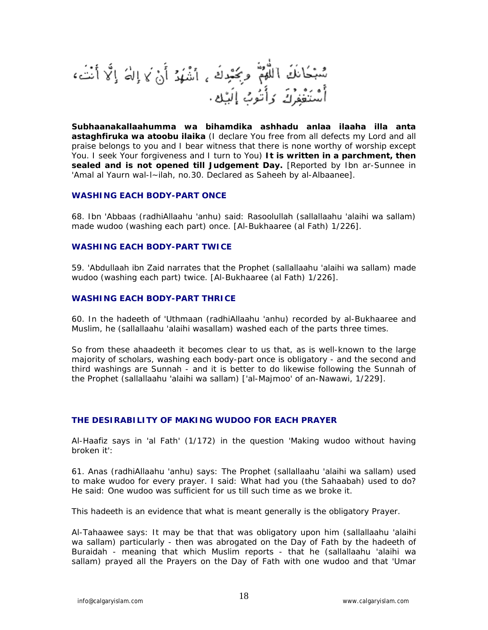سُبْحَانَكَ اللَّهُمُّ وَبَحْدِكَ , اَشْهُدُ أَنْ لَا إِلٰهَ إِلَّا أَنْتَ، .<br>سَنَفْغِرُكَ وَأَنُوبُ إِلَيْك .

**Subhaanakallaahumma wa bihamdika ashhadu anlaa ilaaha illa anta astaghfiruka wa atoobu ilaika** (I declare You free from all defects my Lord and all praise belongs to you and I bear witness that there is none worthy of worship except You. I seek Your forgiveness and I turn to You) **It is written in a parchment, then sealed and is not opened till Judgement Day.** [Reported by Ibn ar-Sunnee in 'Amal al Yaurn wal-l~ilah, no.30. Declared as Saheeh by al-Albaanee].

#### **WASHING EACH BODY-PART ONCE**

68. Ibn 'Abbaas (radhiAllaahu 'anhu) said: Rasoolullah (sallallaahu 'alaihi wa sallam) made wudoo (washing each part) once. [Al-Bukhaaree (al Fath) 1/226].

## **WASHING EACH BODY-PART TWICE**

59. 'Abdullaah ibn Zaid narrates that the Prophet (sallallaahu 'alaihi wa sallam) made wudoo (washing each part) twice. [Al-Bukhaaree (al Fath) 1/226].

#### **WASHING EACH BODY-PART THRICE**

60. In the hadeeth of 'Uthmaan (radhiAllaahu 'anhu) recorded by al-Bukhaaree and Muslim, he (sallallaahu 'alaihi wasallam) washed each of the parts three times.

So from these ahaadeeth it becomes clear to us that, as is well-known to the large majority of scholars, washing each body-part once is obligatory - and the second and third washings are Sunnah - and it is better to do likewise following the Sunnah of the Prophet (sallallaahu 'alaihi wa sallam) ['al-Majmoo' of an-Nawawi, 1/229].

## **THE DESIRABILITY OF MAKING WUDOO FOR EACH PRAYER**

Al-Haafiz says in 'al Fath' (1/172) in the question 'Making wudoo without having broken it':

61. Anas (radhiAllaahu 'anhu) says: The Prophet (sallallaahu 'alaihi wa sallam) used to make wudoo for every prayer. I said: What had you (the Sahaabah) used to do? He said: One wudoo was sufficient for us till such time as we broke it.

This hadeeth is an evidence that what is meant generally is the obligatory Prayer.

Al-Tahaawee says: It may be that that was obligatory upon him (sallallaahu 'alaihi wa sallam) particularly - then was abrogated on the Day of Fath by the hadeeth of Buraidah - meaning that which Muslim reports - that he (sallallaahu 'alaihi wa sallam) prayed all the Prayers on the Day of Fath with one wudoo and that 'Umar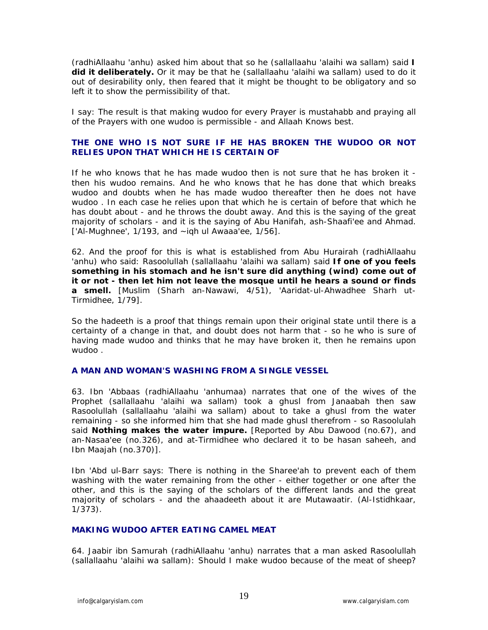(radhiAllaahu 'anhu) asked him about that so he (sallallaahu 'alaihi wa sallam) said **I did it deliberately.** Or it may be that he (sallallaahu 'alaihi wa sallam) used to do it out of desirability only, then feared that it might be thought to be obligatory and so left it to show the permissibility of that.

I say: The result is that making wudoo for every Prayer is mustahabb and praying all of the Prayers with one wudoo is permissible - and Allaah Knows best.

# **THE ONE WHO IS NOT SURE IF HE HAS BROKEN THE WUDOO OR NOT RELIES UPON THAT WHICH HE IS CERTAIN OF**

If he who knows that he has made wudoo then is not sure that he has broken it then his wudoo remains. And he who knows that he has done that which breaks wudoo and doubts when he has made wudoo thereafter then he does not have wudoo . In each case he relies upon that which he is certain of before that which he has doubt about - and he throws the doubt away. And this is the saying of the great majority of scholars - and it is the saying of Abu Hanifah, ash-Shaafi'ee and Ahmad. ['Al-Mughnee', 1/193, and ~igh ul Awaaa'ee, 1/56].

62. And the proof for this is what is established from Abu Hurairah (radhiAllaahu 'anhu) who said: Rasoolullah (sallallaahu 'alaihi wa sallam) said **If one of you feels something in his stomach and he isn't sure did anything (wind) come out of it or not - then let him not leave the mosque until he hears a sound or finds a smell.** [Muslim (Sharh an-Nawawi, 4/51), 'Aaridat-ul-Ahwadhee Sharh ut-Tirmidhee, 1/79].

So the hadeeth is a proof that things remain upon their original state until there is a certainty of a change in that, and doubt does not harm that - so he who is sure of having made wudoo and thinks that he may have broken it, then he remains upon wudoo .

## **A MAN AND WOMAN'S WASHING FROM A SINGLE VESSEL**

63. Ibn 'Abbaas (radhiAllaahu 'anhumaa) narrates that one of the wives of the Prophet (sallallaahu 'alaihi wa sallam) took a ghusl from Janaabah then saw Rasoolullah (sallallaahu 'alaihi wa sallam) about to take a ghusl from the water remaining - so she informed him that she had made ghusl therefrom - so Rasoolulah said **Nothing makes the water impure.** [Reported by Abu Dawood (no.67), and an-Nasaa'ee (no.326), and at-Tirmidhee who declared it to be hasan saheeh, and Ibn Maajah (no.370)].

Ibn 'Abd ul-Barr says: There is nothing in the Sharee'ah to prevent each of them washing with the water remaining from the other - either together or one after the other, and this is the saying of the scholars of the different lands and the great majority of scholars - and the ahaadeeth about it are Mutawaatir. (Al-Istidhkaar, 1/373).

# **MAKING WUDOO AFTER EATING CAMEL MEAT**

64. Jaabir ibn Samurah (radhiAllaahu 'anhu) narrates that a man asked Rasoolullah (sallallaahu 'alaihi wa sallam): Should I make wudoo because of the meat of sheep?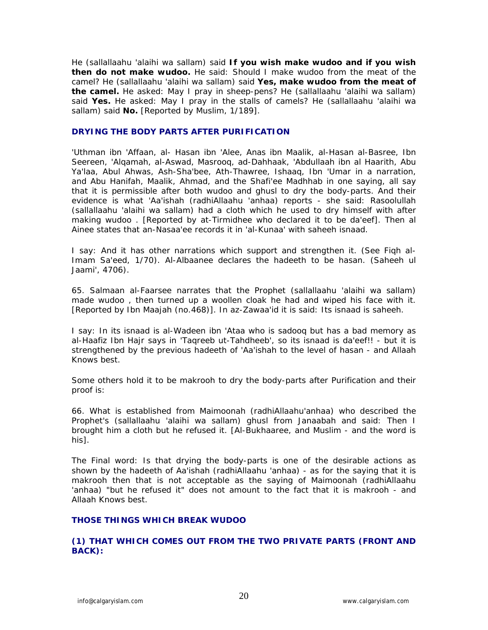He (sallallaahu 'alaihi wa sallam) said **If you wish make wudoo and if you wish then do not make wudoo.** He said: Should I make wudoo from the meat of the camel? He (sallallaahu 'alaihi wa sallam) said **Yes, make wudoo from the meat of the camel.** He asked: May I pray in sheep-pens? He (sallallaahu 'alaihi wa sallam) said **Yes.** He asked: May I pray in the stalls of camels? He (sallallaahu 'alaihi wa sallam) said **No.** [Reported by Muslim, 1/189].

# **DRYING THE BODY PARTS AFTER PURIFICATION**

'Uthman ibn 'Affaan, al- Hasan ibn 'Alee, Anas ibn Maalik, al-Hasan al-Basree, Ibn Seereen, 'Alqamah, al-Aswad, Masrooq, ad-Dahhaak, 'Abdullaah ibn al Haarith, Abu Ya'laa, Abul Ahwas, Ash-Sha'bee, Ath-Thawree, Ishaaq, Ibn 'Umar in a narration, and Abu Hanifah, Maalik, Ahmad, and the Shafi'ee Madhhab in one saying, all say that it is permissible after both wudoo and ghusl to dry the body-parts. And their evidence is what 'Aa'ishah (radhiAllaahu 'anhaa) reports - she said: Rasoolullah (sallallaahu 'alaihi wa sallam) had a cloth which he used to dry himself with after making wudoo . [Reported by at-Tirmidhee who declared it to be da'eef]. Then al Ainee states that an-Nasaa'ee records it in 'al-Kunaa' with saheeh isnaad.

I say: And it has other narrations which support and strengthen it. (See Fiqh al-Imam Sa'eed, 1/70). Al-Albaanee declares the hadeeth to be hasan. (Saheeh ul Jaami', 4706).

65. Salmaan al-Faarsee narrates that the Prophet (sallallaahu 'alaihi wa sallam) made wudoo , then turned up a woollen cloak he had and wiped his face with it. [Reported by Ibn Maajah (no.468)]. In az-Zawaa'id it is said: Its isnaad is saheeh.

I say: In its isnaad is al-Wadeen ibn 'Ataa who is sadooq but has a bad memory as al-Haafiz Ibn Hajr says in 'Taqreeb ut-Tahdheeb', so its isnaad is da'eef!! - but it is strengthened by the previous hadeeth of 'Aa'ishah to the level of hasan - and Allaah Knows best.

Some others hold it to be makrooh to dry the body-parts after Purification and their proof is:

66. What is established from Maimoonah (radhiAllaahu'anhaa) who described the Prophet's (sallallaahu 'alaihi wa sallam) ghusl from Janaabah and said: Then I brought him a cloth but he refused it. [Al-Bukhaaree, and Muslim - and the word is his].

The Final word: Is that drying the body-parts is one of the desirable actions as shown by the hadeeth of Aa'ishah (radhiAllaahu 'anhaa) - as for the saying that it is makrooh then that is not acceptable as the saying of Maimoonah (radhiAllaahu 'anhaa) "but he refused it" does not amount to the fact that it is makrooh - and Allaah Knows best.

## **THOSE THINGS WHICH BREAK WUDOO**

## **(1) THAT WHICH COMES OUT FROM THE TWO PRIVATE PARTS (FRONT AND BACK):**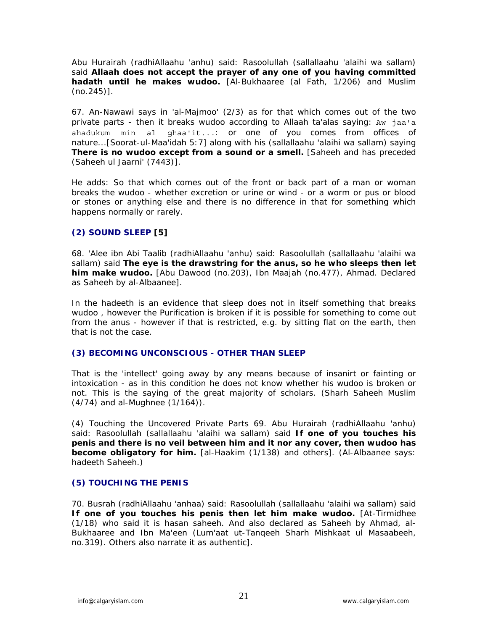Abu Hurairah (radhiAllaahu 'anhu) said: Rasoolullah (sallallaahu 'alaihi wa sallam) said **Allaah does not accept the prayer of any one of you having committed hadath until he makes wudoo.** [Al-Bukhaaree (al Fath, 1/206) and Muslim (no.245)].

67. An-Nawawi says in 'al-Majmoo' (2/3) as for that which comes out of the two private parts - then it breaks wudoo according to Allaah ta'alas saying: Aw jaa'a ahadukum min al ghaa'it...: or one of you comes from offices of nature...[Soorat-ul-Maa'idah 5:7] along with his (sallallaahu 'alaihi wa sallam) saying **There is no wudoo except from a sound or a smell.** [Saheeh and has preceded (Saheeh ul Jaarni' (7443)].

He adds: So that which comes out of the front or back part of a man or woman breaks the wudoo - whether excretion or urine or wind - or a worm or pus or blood or stones or anything else and there is no difference in that for something which happens normally or rarely.

# **(2) SOUND SLEEP [5]**

68. 'Alee ibn Abi Taalib (radhiAllaahu 'anhu) said: Rasoolullah (sallallaahu 'alaihi wa sallam) said **The eye is the drawstring for the anus, so he who sleeps then let him make wudoo.** [Abu Dawood (no.203), Ibn Maajah (no.477), Ahmad. Declared as Saheeh by al-Albaanee].

In the hadeeth is an evidence that sleep does not in itself something that breaks wudoo , however the Purification is broken if it is possible for something to come out from the anus - however if that is restricted, e.g. by sitting flat on the earth, then that is not the case.

# **(3) BECOMING UNCONSCIOUS - OTHER THAN SLEEP**

That is the 'intellect' going away by any means because of insanirt or fainting or intoxication - as in this condition he does not know whether his wudoo is broken or not. This is the saying of the great majority of scholars. (Sharh Saheeh Muslim (4/74) and al-Mughnee (1/164)).

(4) Touching the Uncovered Private Parts 69. Abu Hurairah (radhiAllaahu 'anhu) said: Rasoolullah (sallallaahu 'alaihi wa sallam) said **If one of you touches his penis and there is no veil between him and it nor any cover, then wudoo has become obligatory for him.** [al-Haakim (1/138) and others]. (Al-Albaanee says: hadeeth Saheeh.)

# **(5) TOUCHING THE PENIS**

70. Busrah (radhiAllaahu 'anhaa) said: Rasoolullah (sallallaahu 'alaihi wa sallam) said **If one of you touches his penis then let him make wudoo.** [At-Tirmidhee (1/18) who said it is hasan saheeh. And also declared as Saheeh by Ahmad, al-Bukhaaree and Ibn Ma'een (Lum'aat ut-Tanqeeh Sharh Mishkaat ul Masaabeeh, no.319). Others also narrate it as authentic].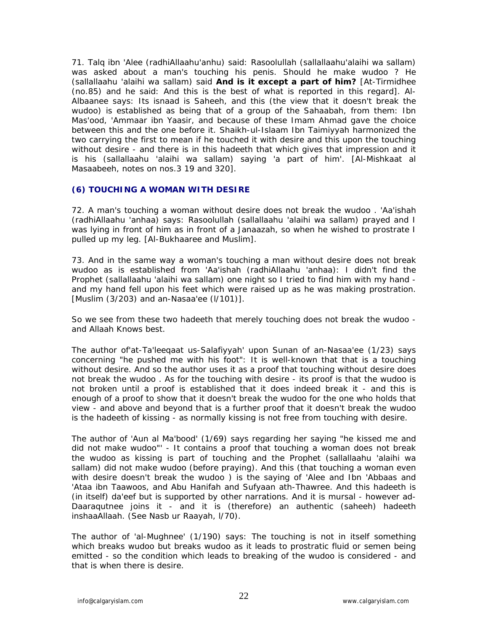71. Talq ibn 'Alee (radhiAllaahu'anhu) said: Rasoolullah (sallallaahu'alaihi wa sallam) was asked about a man's touching his penis. Should he make wudoo ? He (sallallaahu 'alaihi wa sallam) said **And is it except a part of him?** [At-Tirmidhee (no.85) and he said: And this is the best of what is reported in this regard]. Al-Albaanee says: Its isnaad is Saheeh, and this (the view that it doesn't break the wudoo) is established as being that of a group of the Sahaabah, from them: Ibn Mas'ood, 'Ammaar ibn Yaasir, and because of these Imam Ahmad gave the choice between this and the one before it. Shaikh-ul-Islaam Ibn Taimiyyah harmonized the two carrying the first to mean if he touched it with desire and this upon the touching without desire - and there is in this hadeeth that which gives that impression and it is his (sallallaahu 'alaihi wa sallam) saying 'a part of him'. [Al-Mishkaat al Masaabeeh, notes on nos.3 19 and 320].

## **(6) TOUCHING A WOMAN WITH DESIRE**

72. A man's touching a woman without desire does not break the wudoo . 'Aa'ishah (radhiAllaahu 'anhaa) says: Rasoolullah (sallallaahu 'alaihi wa sallam) prayed and I was lying in front of him as in front of a Janaazah, so when he wished to prostrate I pulled up my leg. [Al-Bukhaaree and Muslim].

73. And in the same way a woman's touching a man without desire does not break wudoo as is established from 'Aa'ishah (radhiAllaahu 'anhaa): I didn't find the Prophet (sallallaahu 'alaihi wa sallam) one night so I tried to find him with my hand and my hand fell upon his feet which were raised up as he was making prostration. [Muslim (3/203) and an-Nasaa'ee (l/101)].

So we see from these two hadeeth that merely touching does not break the wudoo and Allaah Knows best.

The author of'at-Ta'leeqaat us-Salafiyyah' upon Sunan of an-Nasaa'ee (1/23) says concerning "he pushed me with his foot": It is well-known that that is a touching without desire. And so the author uses it as a proof that touching without desire does not break the wudoo . As for the touching with desire - its proof is that the wudoo is not broken until a proof is established that it does indeed break it - and this is enough of a proof to show that it doesn't break the wudoo for the one who holds that view - and above and beyond that is a further proof that it doesn't break the wudoo is the hadeeth of kissing - as normally kissing is not free from touching with desire.

The author of 'Aun al Ma'bood' (1/69) says regarding her saying "he kissed me and did not make wudoo"' - It contains a proof that touching a woman does not break the wudoo as kissing is part of touching and the Prophet (sallallaahu 'alaihi wa sallam) did not make wudoo (before praying). And this (that touching a woman even with desire doesn't break the wudoo ) is the saying of 'Alee and Ibn 'Abbaas and 'Ataa ibn Taawoos, and Abu Hanifah and Sufyaan ath-Thawree. And this hadeeth is (in itself) da'eef but is supported by other narrations. And it is mursal - however ad-Daaraqutnee joins it - and it is (therefore) an authentic (saheeh) hadeeth inshaaAllaah. (See Nasb ur Raayah, l/70).

The author of 'al-Mughnee' (1/190) says: The touching is not in itself something which breaks wudoo but breaks wudoo as it leads to prostratic fluid or semen being emitted - so the condition which leads to breaking of the wudoo is considered - and that is when there is desire.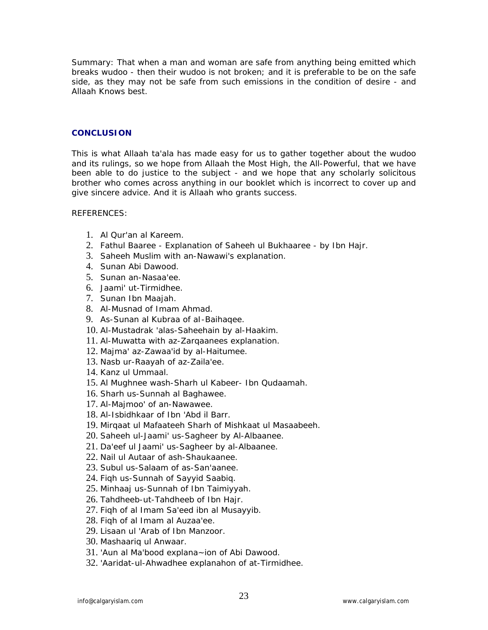Summary: That when a man and woman are safe from anything being emitted which breaks wudoo - then their wudoo is not broken; and it is preferable to be on the safe side, as they may not be safe from such emissions in the condition of desire - and Allaah Knows best.

## **CONCLUSION**

This is what Allaah ta'ala has made easy for us to gather together about the wudoo and its rulings, so we hope from Allaah the Most High, the All-Powerful, that we have been able to do justice to the subject - and we hope that any scholarly solicitous brother who comes across anything in our booklet which is incorrect to cover up and give sincere advice. And it is Allaah who grants success.

## REFERENCES:

- 1. Al Qur'an al Kareem.
- 2. Fathul Baaree Explanation of Saheeh ul Bukhaaree by Ibn Hajr.
- 3. Saheeh Muslim with an-Nawawi's explanation.
- 4. Sunan Abi Dawood.
- 5. Sunan an-Nasaa'ee.
- 6. Jaami' ut-Tirmidhee.
- 7. Sunan Ibn Maajah.
- 8. Al-Musnad of Imam Ahmad.
- 9. As-Sunan al Kubraa of aI-Baihaqee.
- 10. Al-Mustadrak 'alas-Saheehain by al-Haakim.
- 11. Al-Muwatta with az-Zarqaanees explanation.
- 12. Majma' az-Zawaa'id by al-Haitumee.
- 13. Nasb ur-Raayah of az-Zaila'ee.
- 14. Kanz ul Ummaal.
- 15. Al Mughnee wash-Sharh ul Kabeer- Ibn Qudaamah.
- 16. Sharh us-Sunnah al Baghawee.
- 17. Al-Majmoo' of an-Nawawee.
- 18. Al-Isbidhkaar of Ibn 'Abd il Barr.
- 19. Mirqaat ul Mafaateeh Sharh of Mishkaat ul Masaabeeh.
- 20. Saheeh ul-Jaami' us-Sagheer by Al-Albaanee.
- 21. Da'eef ul Jaami' us-Sagheer by al-Albaanee.
- 22. Nail ul Autaar of ash-Shaukaanee.
- 23. Subul us-Salaam of as-San'aanee.
- 24. Fiqh us-Sunnah of Sayyid Saabiq.
- 25. Minhaaj us-Sunnah of Ibn Taimiyyah.
- 26. Tahdheeb-ut-Tahdheeb of Ibn Hajr.
- 27. Fiqh of al Imam Sa'eed ibn al Musayyib.
- 28. Fiqh of al Imam al Auzaa'ee.
- 29. Lisaan ul 'Arab of Ibn Manzoor.
- 30. Mashaariq ul Anwaar.
- 31. 'Aun al Ma'bood explana~ion of Abi Dawood.
- 32. 'Aaridat-ul-Ahwadhee explanahon of at-Tirmidhee.